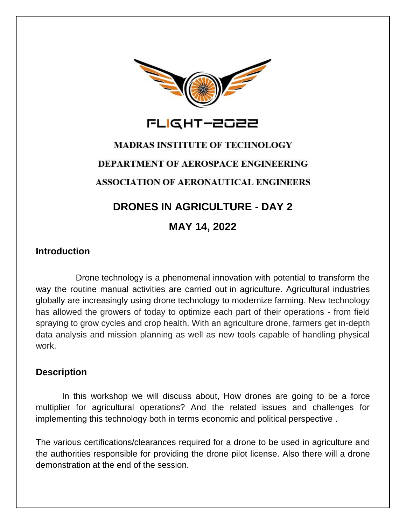

# **MADRAS INSTITUTE OF TECHNOLOGY DEPARTMENT OF AEROSPACE ENGINEERING ASSOCIATION OF AERONAUTICAL ENGINEERS**

# **DRONES IN AGRICULTURE - DAY 2**

## **MAY 14, 2022**

## **Introduction**

 Drone technology is a phenomenal innovation with potential to transform the way the routine manual activities are carried out in agriculture. Agricultural industries globally are increasingly using drone technology to modernize farming. New technology has allowed the growers of today to optimize each part of their operations - from field spraying to grow cycles and crop health. With an agriculture drone, farmers get in-depth data analysis and mission planning as well as new tools capable of handling physical work.

### **Description**

In this workshop we will discuss about, How drones are going to be a force multiplier for agricultural operations? And the related issues and challenges for implementing this technology both in terms economic and political perspective .

The various certifications/clearances required for a drone to be used in agriculture and the authorities responsible for providing the drone pilot license. Also there will a drone demonstration at the end of the session.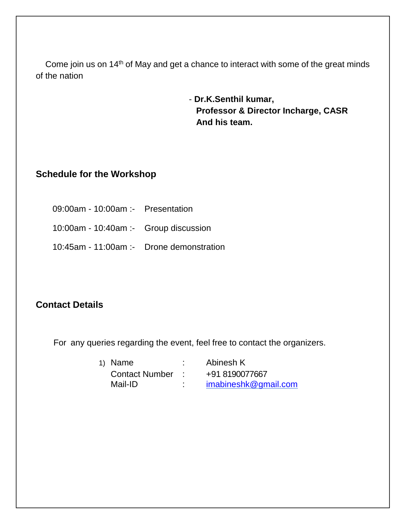Come join us on 14<sup>th</sup> of May and get a chance to interact with some of the great minds of the nation

> - **Dr.K.Senthil kumar, Professor & Director Incharge, CASR And his team.**

### **Schedule for the Workshop**

 09:00am - 10:00am :- Presentation 10:00am - 10:40am :- Group discussion 10:45am - 11:00am :- Drone demonstration

#### **Contact Details**

For any queries regarding the event, feel free to contact the organizers.

| 1) Name               |        | Abinesh K            |
|-----------------------|--------|----------------------|
| <b>Contact Number</b> |        | +91 8190077667       |
| Mail-ID               | ٠<br>٠ | imabineshk@gmail.com |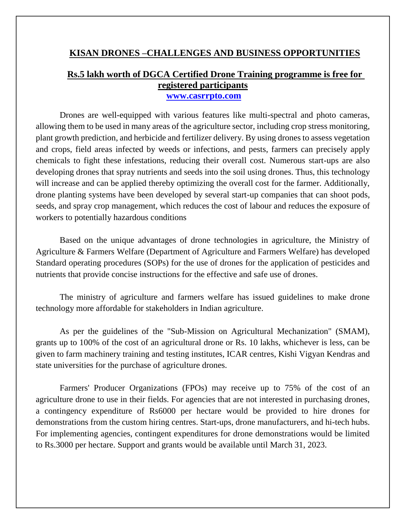#### **KISAN DRONES –CHALLENGES AND BUSINESS OPPORTUNITIES**

#### **Rs.5 lakh worth of DGCA Certified Drone Training programme is free for registered participants [www.casrrpto.com](http://www.casrrpto.com/)**

Drones are well-equipped with various features like multi-spectral and photo cameras, allowing them to be used in many areas of the agriculture sector, including crop stress monitoring, plant growth prediction, and herbicide and fertilizer delivery. By using drones to assess vegetation and crops, field areas infected by weeds or infections, and pests, farmers can precisely apply chemicals to fight these infestations, reducing their overall cost. Numerous start-ups are also developing drones that spray nutrients and seeds into the soil using drones. Thus, this technology will increase and can be applied thereby optimizing the overall cost for the farmer. Additionally, drone planting systems have been developed by several start-up companies that can shoot pods, seeds, and spray crop management, which reduces the cost of labour and reduces the exposure of workers to potentially hazardous conditions

Based on the unique advantages of drone technologies in agriculture, the Ministry of Agriculture & Farmers Welfare (Department of Agriculture and Farmers Welfare) has developed Standard operating procedures (SOPs) for the use of drones for the application of pesticides and nutrients that provide concise instructions for the effective and safe use of drones.

The ministry of agriculture and farmers welfare has issued guidelines to make drone technology more affordable for stakeholders in Indian agriculture.

As per the guidelines of the "Sub-Mission on Agricultural Mechanization" (SMAM), grants up to 100% of the cost of an agricultural drone or Rs. 10 lakhs, whichever is less, can be given to farm machinery training and testing institutes, ICAR centres, Kishi Vigyan Kendras and state universities for the purchase of agriculture drones.

Farmers' Producer Organizations (FPOs) may receive up to 75% of the cost of an agriculture drone to use in their fields. For agencies that are not interested in purchasing drones, a contingency expenditure of Rs6000 per hectare would be provided to hire drones for demonstrations from the custom hiring centres. Start-ups, drone manufacturers, and hi-tech hubs. For implementing agencies, contingent expenditures for drone demonstrations would be limited to Rs.3000 per hectare. Support and grants would be available until March 31, 2023.